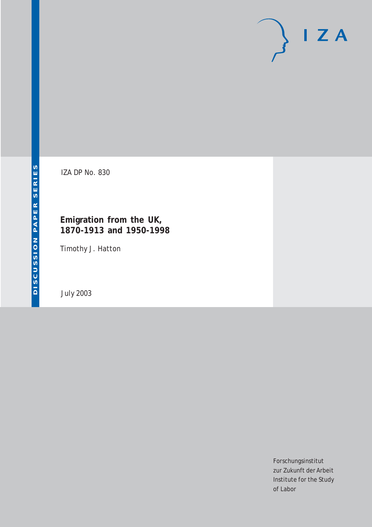# $I Z A$

IZA DP No. 830

### **Emigration from the UK, 1870-1913 and 1950-1998**

Timothy J. Hatton

July 2003

Forschungsinstitut zur Zukunft der Arbeit Institute for the Study of Labor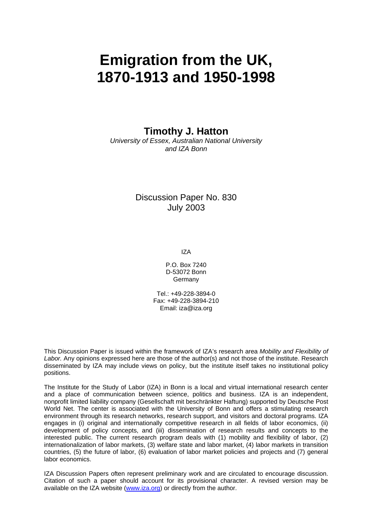# **Emigration from the UK, 1870-1913 and 1950-1998**

**Timothy J. Hatton** 

*University of Essex, Australian National University and IZA Bonn* 

> Discussion Paper No. 830 July 2003

> > IZA

P.O. Box 7240 D-53072 Bonn **Germany** 

Tel.: +49-228-3894-0 Fax: +49-228-3894-210 Email: [iza@iza.org](mailto:iza@iza.org)

This Discussion Paper is issued within the framework of IZA's research area *Mobility and Flexibility of Labor.* Any opinions expressed here are those of the author(s) and not those of the institute. Research disseminated by IZA may include views on policy, but the institute itself takes no institutional policy positions.

The Institute for the Study of Labor (IZA) in Bonn is a local and virtual international research center and a place of communication between science, politics and business. IZA is an independent, nonprofit limited liability company (Gesellschaft mit beschränkter Haftung) supported by Deutsche Post World Net. The center is associated with the University of Bonn and offers a stimulating research environment through its research networks, research support, and visitors and doctoral programs. IZA engages in (i) original and internationally competitive research in all fields of labor economics, (ii) development of policy concepts, and (iii) dissemination of research results and concepts to the interested public. The current research program deals with (1) mobility and flexibility of labor, (2) internationalization of labor markets, (3) welfare state and labor market, (4) labor markets in transition countries, (5) the future of labor, (6) evaluation of labor market policies and projects and (7) general labor economics.

IZA Discussion Papers often represent preliminary work and are circulated to encourage discussion. Citation of such a paper should account for its provisional character. A revised version may be available on the IZA website ([www.iza.org](http://www.iza.org/)) or directly from the author.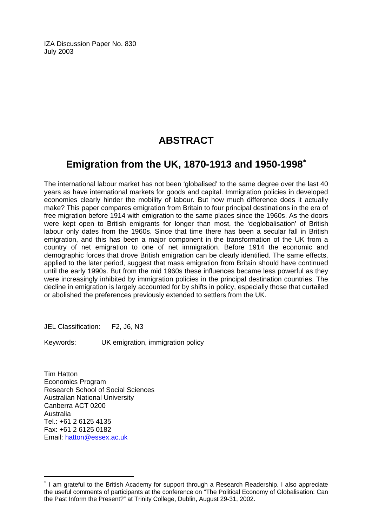IZA Discussion Paper No. 830 July 2003

## **ABSTRACT**

## **Emigration from the UK, 1870-1913 and 1950-1998**[∗](#page-2-0)

The international labour market has not been 'globalised' to the same degree over the last 40 years as have international markets for goods and capital. Immigration policies in developed economies clearly hinder the mobility of labour. But how much difference does it actually make? This paper compares emigration from Britain to four principal destinations in the era of free migration before 1914 with emigration to the same places since the 1960s. As the doors were kept open to British emigrants for longer than most, the 'deglobalisation' of British labour only dates from the 1960s. Since that time there has been a secular fall in British emigration, and this has been a major component in the transformation of the UK from a country of net emigration to one of net immigration. Before 1914 the economic and demographic forces that drove British emigration can be clearly identified. The same effects, applied to the later period, suggest that mass emigration from Britain should have continued until the early 1990s. But from the mid 1960s these influences became less powerful as they were increasingly inhibited by immigration policies in the principal destination countries. The decline in emigration is largely accounted for by shifts in policy, especially those that curtailed or abolished the preferences previously extended to settlers from the UK.

JEL Classification: F2, J6, N3

Keywords: UK emigration, immigration policy

Tim Hatton Economics Program Research School of Social Sciences Australian National University Canberra ACT 0200 Australia Tel.: +61 2 6125 4135 Fax: +61 2 6125 0182 Email: [hatton@essex.ac.uk](mailto:hatton@essex.ac.uk)

 $\overline{a}$ 

<span id="page-2-0"></span><sup>∗</sup> I am grateful to the British Academy for support through a Research Readership. I also appreciate the useful comments of participants at the conference on "The Political Economy of Globalisation: Can the Past Inform the Present?" at Trinity College, Dublin, August 29-31, 2002.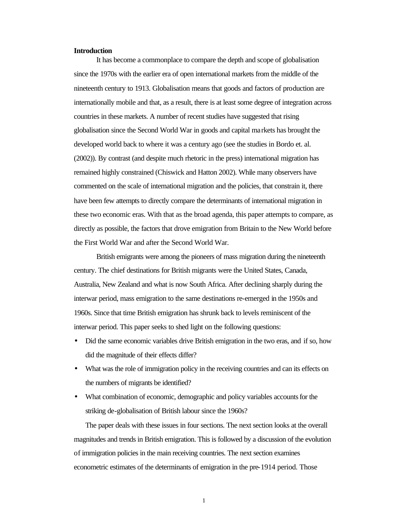#### **Introduction**

It has become a commonplace to compare the depth and scope of globalisation since the 1970s with the earlier era of open international markets from the middle of the nineteenth century to 1913. Globalisation means that goods and factors of production are internationally mobile and that, as a result, there is at least some degree of integration across countries in these markets. A number of recent studies have suggested that rising globalisation since the Second World War in goods and capital markets has brought the developed world back to where it was a century ago (see the studies in Bordo et. al. (2002)). By contrast (and despite much rhetoric in the press) international migration has remained highly constrained (Chiswick and Hatton 2002). While many observers have commented on the scale of international migration and the policies, that constrain it, there have been few attempts to directly compare the determinants of international migration in these two economic eras. With that as the broad agenda, this paper attempts to compare, as directly as possible, the factors that drove emigration from Britain to the New World before the First World War and after the Second World War.

British emigrants were among the pioneers of mass migration during the nineteenth century. The chief destinations for British migrants were the United States, Canada, Australia, New Zealand and what is now South Africa. After declining sharply during the interwar period, mass emigration to the same destinations re-emerged in the 1950s and 1960s. Since that time British emigration has shrunk back to levels reminiscent of the interwar period. This paper seeks to shed light on the following questions:

- Did the same economic variables drive British emigration in the two eras, and if so, how did the magnitude of their effects differ?
- What was the role of immigration policy in the receiving countries and can its effects on the numbers of migrants be identified?
- What combination of economic, demographic and policy variables accounts for the striking de-globalisation of British labour since the 1960s?

The paper deals with these issues in four sections. The next section looks at the overall magnitudes and trends in British emigration. This is followed by a discussion of the evolution of immigration policies in the main receiving countries. The next section examines econometric estimates of the determinants of emigration in the pre-1914 period. Those

1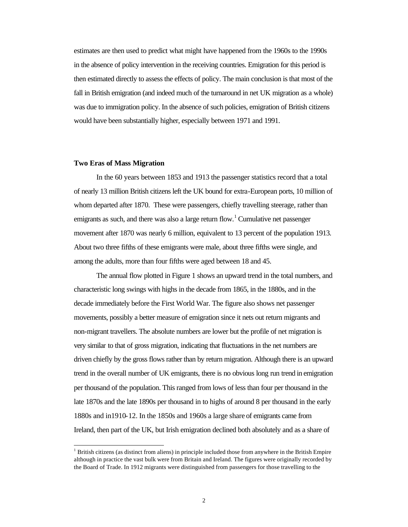estimates are then used to predict what might have happened from the 1960s to the 1990s in the absence of policy intervention in the receiving countries. Emigration for this period is then estimated directly to assess the effects of policy. The main conclusion is that most of the fall in British emigration (and indeed much of the turnaround in net UK migration as a whole) was due to immigration policy. In the absence of such policies, emigration of British citizens would have been substantially higher, especially between 1971 and 1991.

#### **Two Eras of Mass Migration**

l

In the 60 years between 1853 and 1913 the passenger statistics record that a total of nearly 13 million British citizens left the UK bound for extra-European ports, 10 million of whom departed after 1870. These were passengers, chiefly travelling steerage, rather than emigrants as such, and there was also a large return flow.<sup>1</sup> Cumulative net passenger movement after 1870 was nearly 6 million, equivalent to 13 percent of the population 1913. About two three fifths of these emigrants were male, about three fifths were single, and among the adults, more than four fifths were aged between 18 and 45.

The annual flow plotted in Figure 1 shows an upward trend in the total numbers, and characteristic long swings with highs in the decade from 1865, in the 1880s, and in the decade immediately before the First World War. The figure also shows net passenger movements, possibly a better measure of emigration since it nets out return migrants and non-migrant travellers. The absolute numbers are lower but the profile of net migration is very similar to that of gross migration, indicating that fluctuations in the net numbers are driven chiefly by the gross flows rather than by return migration. Although there is an upward trend in the overall number of UK emigrants, there is no obvious long run trend in emigration per thousand of the population. This ranged from lows of less than four per thousand in the late 1870s and the late 1890s per thousand in to highs of around 8 per thousand in the early 1880s and in1910-12. In the 1850s and 1960s a large share of emigrants came from Ireland, then part of the UK, but Irish emigration declined both absolutely and as a share of

<sup>&</sup>lt;sup>1</sup> British citizens (as distinct from aliens) in principle included those from anywhere in the British Empire although in practice the vast bulk were from Britain and Ireland. The figures were originally recorded by the Board of Trade. In 1912 migrants were distinguished from passengers for those travelling to the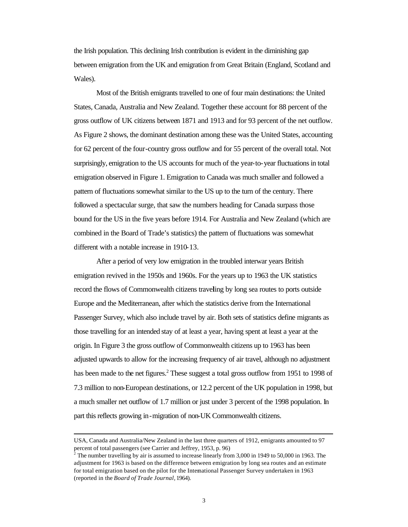the Irish population. This declining Irish contribution is evident in the diminishing gap between emigration from the UK and emigration from Great Britain (England, Scotland and Wales).

Most of the British emigrants travelled to one of four main destinations: the United States, Canada, Australia and New Zealand. Together these account for 88 percent of the gross outflow of UK citizens between 1871 and 1913 and for 93 percent of the net outflow. As Figure 2 shows, the dominant destination among these was the United States, accounting for 62 percent of the four-country gross outflow and for 55 percent of the overall total. Not surprisingly, emigration to the US accounts for much of the year-to-year fluctuations in total emigration observed in Figure 1. Emigration to Canada was much smaller and followed a pattern of fluctuations somewhat similar to the US up to the turn of the century. There followed a spectacular surge, that saw the numbers heading for Canada surpass those bound for the US in the five years before 1914. For Australia and New Zealand (which are combined in the Board of Trade's statistics) the pattern of fluctuations was somewhat different with a notable increase in 1910-13.

After a period of very low emigration in the troubled interwar years British emigration revived in the 1950s and 1960s. For the years up to 1963 the UK statistics record the flows of Commonwealth citizens traveling by long sea routes to ports outside Europe and the Mediterranean, after which the statistics derive from the International Passenger Survey, which also include travel by air. Both sets of statistics define migrants as those travelling for an intended stay of at least a year, having spent at least a year at the origin. In Figure 3 the gross outflow of Commonwealth citizens up to 1963 has been adjusted upwards to allow for the increasing frequency of air travel, although no adjustment has been made to the net figures.<sup>2</sup> These suggest a total gross outflow from 1951 to 1998 of 7.3 million to non-European destinations, or 12.2 percent of the UK population in 1998, but a much smaller net outflow of 1.7 million or just under 3 percent of the 1998 population. In part this reflects growing in-migration of non-UK Commonwealth citizens.

USA, Canada and Australia/New Zealand in the last three quarters of 1912, emigrants amounted to 97 percent of total passengers (see Carrier and Jeffrey, 1953, p. 96)

<sup>2</sup> The number travelling by air is assumed to increase linearly from 3,000 in 1949 to 50,000 in 1963. The adjustment for 1963 is based on the difference between emigration by long sea routes and an estimate for total emigration based on the pilot for the International Passenger Survey undertaken in 1963 (reported in the *Board of Trade Journal,* 1964).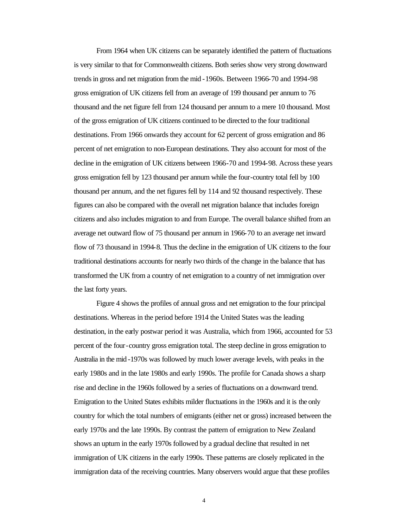From 1964 when UK citizens can be separately identified the pattern of fluctuations is very similar to that for Commonwealth citizens. Both series show very strong downward trends in gross and net migration from the mid -1960s. Between 1966-70 and 1994-98 gross emigration of UK citizens fell from an average of 199 thousand per annum to 76 thousand and the net figure fell from 124 thousand per annum to a mere 10 thousand. Most of the gross emigration of UK citizens continued to be directed to the four traditional destinations. From 1966 onwards they account for 62 percent of gross emigration and 86 percent of net emigration to non-European destinations. They also account for most of the decline in the emigration of UK citizens between 1966-70 and 1994-98. Across these years gross emigration fell by 123 thousand per annum while the four-country total fell by 100 thousand per annum, and the net figures fell by 114 and 92 thousand respectively. These figures can also be compared with the overall net migration balance that includes foreign citizens and also includes migration to and from Europe. The overall balance shifted from an average net outward flow of 75 thousand per annum in 1966-70 to an average net inward flow of 73 thousand in 1994-8. Thus the decline in the emigration of UK citizens to the four traditional destinations accounts for nearly two thirds of the change in the balance that has transformed the UK from a country of net emigration to a country of net immigration over the last forty years.

Figure 4 shows the profiles of annual gross and net emigration to the four principal destinations. Whereas in the period before 1914 the United States was the leading destination, in the early postwar period it was Australia, which from 1966, accounted for 53 percent of the four-country gross emigration total. The steep decline in gross emigration to Australia in the mid -1970s was followed by much lower average levels, with peaks in the early 1980s and in the late 1980s and early 1990s. The profile for Canada shows a sharp rise and decline in the 1960s followed by a series of fluctuations on a downward trend. Emigration to the United States exhibits milder fluctuations in the 1960s and it is the only country for which the total numbers of emigrants (either net or gross) increased between the early 1970s and the late 1990s. By contrast the pattern of emigration to New Zealand shows an upturn in the early 1970s followed by a gradual decline that resulted in net immigration of UK citizens in the early 1990s. These patterns are closely replicated in the immigration data of the receiving countries. Many observers would argue that these profiles

4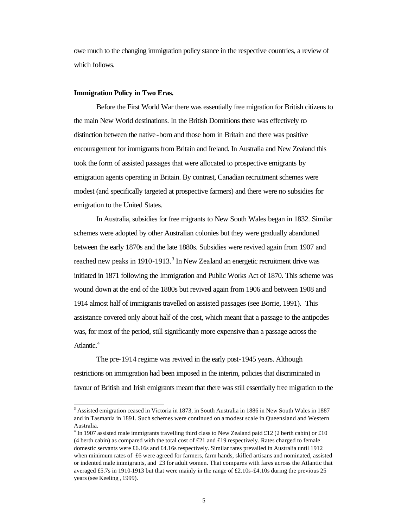owe much to the changing immigration policy stance in the respective countries, a review of which follows.

#### **Immigration Policy in Two Eras.**

l

Before the First World War there was essentially free migration for British citizens to the main New World destinations. In the British Dominions there was effectively no distinction between the native-born and those born in Britain and there was positive encouragement for immigrants from Britain and Ireland. In Australia and New Zealand this took the form of assisted passages that were allocated to prospective emigrants by emigration agents operating in Britain. By contrast, Canadian recruitment schemes were modest (and specifically targeted at prospective farmers) and there were no subsidies for emigration to the United States.

In Australia, subsidies for free migrants to New South Wales began in 1832. Similar schemes were adopted by other Australian colonies but they were gradually abandoned between the early 1870s and the late 1880s. Subsidies were revived again from 1907 and reached new peaks in 1910-1913.<sup>3</sup> In New Zealand an energetic recruitment drive was initiated in 1871 following the Immigration and Public Works Act of 1870. This scheme was wound down at the end of the 1880s but revived again from 1906 and between 1908 and 1914 almost half of immigrants travelled on assisted passages (see Borrie, 1991). This assistance covered only about half of the cost, which meant that a passage to the antipodes was, for most of the period, still significantly more expensive than a passage across the Atlantic.<sup>4</sup>

The pre-1914 regime was revived in the early post-1945 years. Although restrictions on immigration had been imposed in the interim, policies that discriminated in favour of British and Irish emigrants meant that there was still essentially free migration to the

<sup>&</sup>lt;sup>3</sup> Assisted emigration ceased in Victoria in 1873, in South Australia in 1886 in New South Wales in 1887 and in Tasmania in 1891. Such schemes were continued on a modest scale in Queensland and Western Australia.

 $4 \text{ In } 1907$  assisted male immigrants travelling third class to New Zealand paid £12 (2 berth cabin) or £10 (4 berth cabin) as compared with the total cost of  $\pounds 21$  and  $\pounds 19$  respectively. Rates charged to female domestic servants were £6.16s and £4.16s respectively. Similar rates prevailed in Australia until 1912 when minimum rates of £6 were agreed for farmers, farm hands, skilled artisans and nominated, assisted or indented male immigrants, and £3 for adult women. That compares with fares across the Atlantic that averaged £5.7s in 1910-1913 but that were mainly in the range of £2.10s -£4.10s during the previous 25 years (see Keeling , 1999).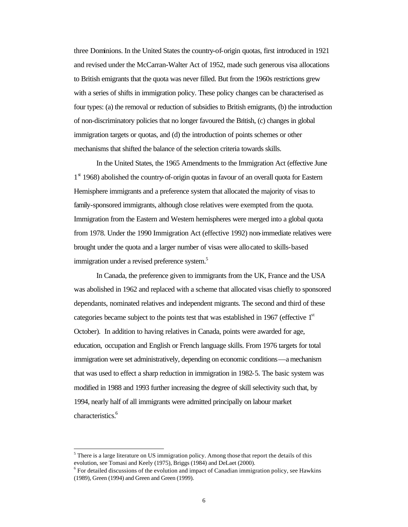three Dominions. In the United States the country-of-origin quotas, first introduced in 1921 and revised under the McCarran-Walter Act of 1952, made such generous visa allocations to British emigrants that the quota was never filled. But from the 1960s restrictions grew with a series of shifts in immigration policy. These policy changes can be characterised as four types: (a) the removal or reduction of subsidies to British emigrants, (b) the introduction of non-discriminatory policies that no longer favoured the British, (c) changes in global immigration targets or quotas, and (d) the introduction of points schemes or other mechanisms that shifted the balance of the selection criteria towards skills.

In the United States, the 1965 Amendments to the Immigration Act (effective June 1<sup>st</sup> 1968) abolished the country-of-origin quotas in favour of an overall quota for Eastern Hemisphere immigrants and a preference system that allocated the majority of visas to family-sponsored immigrants, although close relatives were exempted from the quota. Immigration from the Eastern and Western hemispheres were merged into a global quota from 1978. Under the 1990 Immigration Act (effective 1992) non-immediate relatives were brought under the quota and a larger number of visas were allocated to skills-based immigration under a revised preference system.<sup>5</sup>

In Canada, the preference given to immigrants from the UK, France and the USA was abolished in 1962 and replaced with a scheme that allocated visas chiefly to sponsored dependants, nominated relatives and independent migrants. The second and third of these categories became subject to the points test that was established in 1967 (effective 1<sup>st</sup> October). In addition to having relatives in Canada, points were awarded for age, education, occupation and English or French language skills. From 1976 targets for total immigration were set administratively, depending on economic conditions—a mechanism that was used to effect a sharp reduction in immigration in 1982-5. The basic system was modified in 1988 and 1993 further increasing the degree of skill selectivity such that, by 1994, nearly half of all immigrants were admitted principally on labour market characteristics.<sup>6</sup>

 $<sup>5</sup>$  There is a large literature on US immigration policy. Among those that report the details of this</sup> evolution, see Tomasi and Keely (1975), Briggs (1984) and DeLaet (2000).

 $6$  For detailed discussions of the evolution and impact of Canadian immigration policy, see Hawkins (1989), Green (1994) and Green and Green (1999).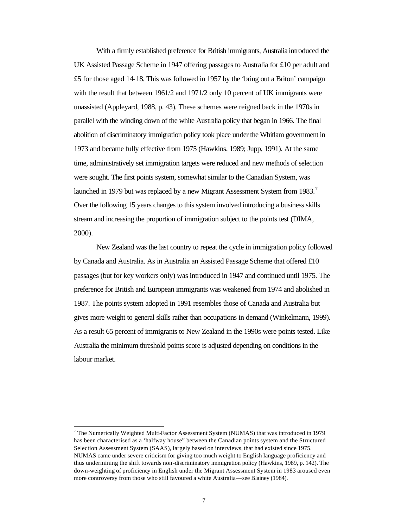With a firmly established preference for British immigrants, Australia introduced the UK Assisted Passage Scheme in 1947 offering passages to Australia for £10 per adult and £5 for those aged 14-18. This was followed in 1957 by the 'bring out a Briton' campaign with the result that between 1961/2 and 1971/2 only 10 percent of UK immigrants were unassisted (Appleyard, 1988, p. 43). These schemes were reigned back in the 1970s in parallel with the winding down of the white Australia policy that began in 1966. The final abolition of discriminatory immigration policy took place under the Whitlam government in 1973 and became fully effective from 1975 (Hawkins, 1989; Jupp, 1991). At the same time, administratively set immigration targets were reduced and new methods of selection were sought. The first points system, somewhat similar to the Canadian System, was launched in 1979 but was replaced by a new Migrant Assessment System from 1983.<sup>7</sup> Over the following 15 years changes to this system involved introducing a business skills stream and increasing the proportion of immigration subject to the points test (DIMA, 2000).

New Zealand was the last country to repeat the cycle in immigration policy followed by Canada and Australia. As in Australia an Assisted Passage Scheme that offered £10 passages (but for key workers only) was introduced in 1947 and continued until 1975. The preference for British and European immigrants was weakened from 1974 and abolished in 1987. The points system adopted in 1991 resembles those of Canada and Australia but gives more weight to general skills rather than occupations in demand (Winkelmann, 1999). As a result 65 percent of immigrants to New Zealand in the 1990s were points tested. Like Australia the minimum threshold points score is adjusted depending on conditions in the labour market.

 $7$  The Numerically Weighted Multi-Factor Assessment System (NUMAS) that was introduced in 1979 has been characterised as a 'halfway house" between the Canadian points system and the Structured Selection Assessment System (SAAS), largely based on interviews, that had existed since 1975. NUMAS came under severe criticism for giving too much weight to English language proficiency and thus undermining the shift towards non-discriminatory immigration policy (Hawkins, 1989, p. 142). The down-weighting of proficiency in English under the Migrant Assessment System in 1983 aroused even more controversy from those who still favoured a white Australia—see Blainey (1984).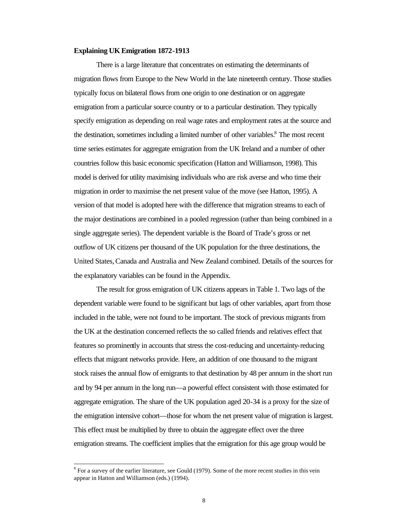#### **Explaining UK Emigration 1872-1913**

There is a large literature that concentrates on estimating the determinants of migration flows from Europe to the New World in the late nineteenth century. Those studies typically focus on bilateral flows from one origin to one destination or on aggregate emigration from a particular source country or to a particular destination. They typically specify emigration as depending on real wage rates and employment rates at the source and the destination, sometimes including a limited number of other variables.<sup>8</sup> The most recent time series estimates for aggregate emigration from the UK Ireland and a number of other countries follow this basic economic specification (Hatton and Williamson, 1998). This model is derived for utility maximising individuals who are risk averse and who time their migration in order to maximise the net present value of the move (see Hatton, 1995). A version of that model is adopted here with the difference that migration streams to each of the major destinations are combined in a pooled regression (rather than being combined in a single aggregate series). The dependent variable is the Board of Trade's gross or net outflow of UK citizens per thousand of the UK population for the three destinations, the United States, Canada and Australia and New Zealand combined. Details of the sources for the explanatory variables can be found in the Appendix.

The result for gross emigration of UK citizens appears in Table 1. Two lags of the dependent variable were found to be significant but lags of other variables, apart from those included in the table, were not found to be important. The stock of previous migrants from the UK at the destination concerned reflects the so called friends and relatives effect that features so prominently in accounts that stress the cost-reducing and uncertainty-reducing effects that migrant networks provide. Here, an addition of one thousand to the migrant stock raises the annual flow of emigrants to that destination by 48 per annum in the short run and by 94 per annum in the long run—a powerful effect consistent with those estimated for aggregate emigration. The share of the UK population aged 20-34 is a proxy for the size of the emigration intensive cohort—those for whom the net present value of migration is largest. This effect must be multiplied by three to obtain the aggregate effect over the three emigration streams. The coefficient implies that the emigration for this age group would be

 $8$  For a survey of the earlier literature, see Gould (1979). Some of the more recent studies in this vein appear in Hatton and Williamson (eds.) (1994).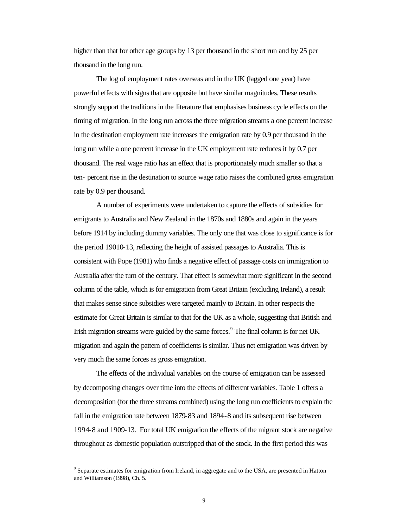higher than that for other age groups by 13 per thousand in the short run and by 25 per thousand in the long run.

The log of employment rates overseas and in the UK (lagged one year) have powerful effects with signs that are opposite but have similar magnitudes. These results strongly support the traditions in the literature that emphasises business cycle effects on the timing of migration. In the long run across the three migration streams a one percent increase in the destination employment rate increases the emigration rate by 0.9 per thousand in the long run while a one percent increase in the UK employment rate reduces it by 0.7 per thousand. The real wage ratio has an effect that is proportionately much smaller so that a ten- percent rise in the destination to source wage ratio raises the combined gross emigration rate by 0.9 per thousand.

A number of experiments were undertaken to capture the effects of subsidies for emigrants to Australia and New Zealand in the 1870s and 1880s and again in the years before 1914 by including dummy variables. The only one that was close to significance is for the period 19010-13, reflecting the height of assisted passages to Australia. This is consistent with Pope (1981) who finds a negative effect of passage costs on immigration to Australia after the turn of the century. That effect is somewhat more significant in the second column of the table, which is for emigration from Great Britain (excluding Ireland), a result that makes sense since subsidies were targeted mainly to Britain. In other respects the estimate for Great Britain is similar to that for the UK as a whole, suggesting that British and Irish migration streams were guided by the same forces. $<sup>9</sup>$  The final column is for net UK</sup> migration and again the pattern of coefficients is similar. Thus net emigration was driven by very much the same forces as gross emigration.

The effects of the individual variables on the course of emigration can be assessed by decomposing changes over time into the effects of different variables. Table 1 offers a decomposition (for the three streams combined) using the long run coefficients to explain the fall in the emigration rate between 1879-83 and 1894-8 and its subsequent rise between 1994-8 and 1909-13. For total UK emigration the effects of the migrant stock are negative throughout as domestic population outstripped that of the stock. In the first period this was

 $9^9$  Separate estimates for emigration from Ireland, in aggregate and to the USA, are presented in Hatton and Williamson (1998), Ch. 5.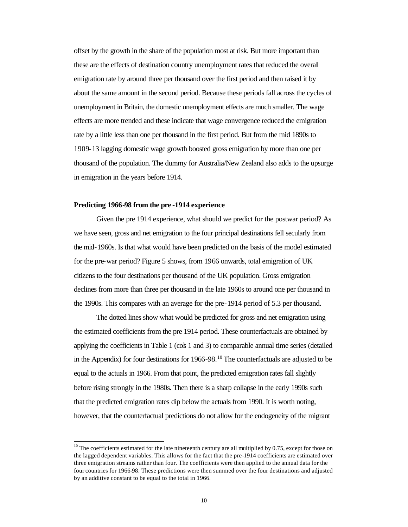offset by the growth in the share of the population most at risk. But more important than these are the effects of destination country unemployment rates that reduced the overall emigration rate by around three per thousand over the first period and then raised it by about the same amount in the second period. Because these periods fall across the cycles of unemployment in Britain, the domestic unemployment effects are much smaller. The wage effects are more trended and these indicate that wage convergence reduced the emigration rate by a little less than one per thousand in the first period. But from the mid 1890s to 1909-13 lagging domestic wage growth boosted gross emigration by more than one per thousand of the population. The dummy for Australia/New Zealand also adds to the upsurge in emigration in the years before 1914.

#### **Predicting 1966-98 from the pre -1914 experience**

l

Given the pre 1914 experience, what should we predict for the postwar period? As we have seen, gross and net emigration to the four principal destinations fell secularly from the mid-1960s. Is that what would have been predicted on the basis of the model estimated for the pre-war period? Figure 5 shows, from 1966 onwards, total emigration of UK citizens to the four destinations per thousand of the UK population. Gross emigration declines from more than three per thousand in the late 1960s to around one per thousand in the 1990s. This compares with an average for the pre-1914 period of 5.3 per thousand.

The dotted lines show what would be predicted for gross and net emigration using the estimated coefficients from the pre 1914 period. These counterfactuals are obtained by applying the coefficients in Table 1 (cols 1 and 3) to comparable annual time series (detailed in the Appendix) for four destinations for  $1966-98$ .<sup>10</sup> The counterfactuals are adjusted to be equal to the actuals in 1966. From that point, the predicted emigration rates fall slightly before rising strongly in the 1980s. Then there is a sharp collapse in the early 1990s such that the predicted emigration rates dip below the actuals from 1990. It is worth noting, however, that the counterfactual predictions do not allow for the endogeneity of the migrant

<sup>&</sup>lt;sup>10</sup> The coefficients estimated for the late nineteenth century are all multiplied by 0.75, except for those on the lagged dependent variables. This allows for the fact that the pre-1914 coefficients are estimated over three emigration streams rather than four. The coefficients were then applied to the annual data for the four countries for 1966-98. These predictions were then summed over the four destinations and adjusted by an additive constant to be equal to the total in 1966.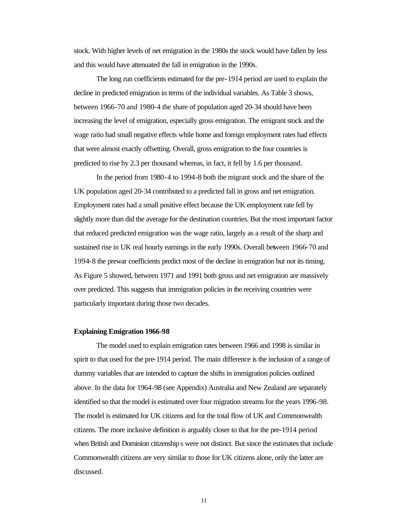stock. With higher levels of net emigration in the 1980s the stock would have fallen by less and this would have attenuated the fall in emigration in the 1990s.

The long run coefficients estimated for the pre-1914 period are used to explain the decline in predicted emigration in terms of the individual variables. As Table 3 shows, between 1966-70 and 1980-4 the share of population aged 20-34 should have been increasing the level of emigration, especially gross emigration. The emigrant stock and the wage ratio had small negative effects while home and foreign employment rates had effects that were almost exactly offsetting. Overall, gross emigration to the four countries is predicted to rise by 2.3 per thousand whereas, in fact, it fell by 1.6 per thousand.

In the period from 1980-4 to 1994-8 both the migrant stock and the share of the UK population aged 20-34 contributed to a predicted fall in gross and net emigration. Employment rates had a small positive effect because the UK employment rate fell by slightly more than did the average for the destination countries. But the most important factor that reduced predicted emigration was the wage ratio, largely as a result of the sharp and sustained rise in UK real hourly earnings in the early 1990s. Overall between 1966-70 and 1994-8 the prewar coefficients predict most of the decline in emigration but not its timing. As Figure 5 showed, between 1971 and 1991 both gross and net emigration are massively over predicted. This suggests that immigration policies in the receiving countries were particularly important during those two decades.

#### **Explaining Emigration 1966-98**

The model used to explain emigration rates between 1966 and 1998 is similar in spirit to that used for the pre-1914 period. The main difference is the inclusion of a range of dummy variables that are intended to capture the shifts in immigration policies outlined above. In the data for 1964-98 (see Appendix) Australia and New Zealand are separately identified so that the model is estimated over four migration streams for the years 1996-98. The model is estimated for UK citizens and for the total flow of UK and Commonwealth citizens. The more inclusive definition is arguably closer to that for the pre-1914 period when British and Dominion citizenship s were not distinct. But since the estimates that include Commonwealth citizens are very similar to those for UK citizens alone, only the latter are discussed.

11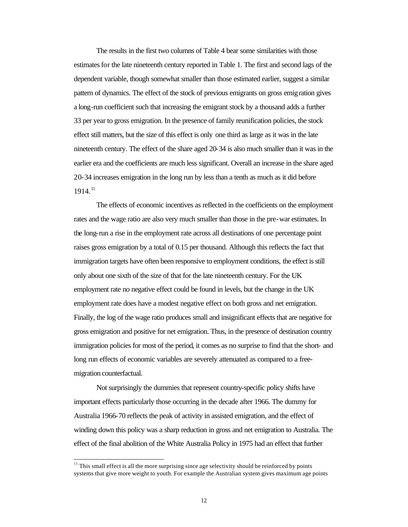The results in the first two columns of Table 4 bear some similarities with those estimates for the late nineteenth century reported in Table 1. The first and second lags of the dependent variable, though somewhat smaller than those estimated earlier, suggest a similar pattern of dynamics. The effect of the stock of previous emigrants on gross emigration gives a long-run coefficient such that increasing the emigrant stock by a thousand adds a further 33 per year to gross emigration. In the presence of family reunification policies, the stock effect still matters, but the size of this effect is only one third as large as it was in the late nineteenth century. The effect of the share aged 20-34 is also much smaller than it was in the earlier era and the coefficients are much less significant. Overall an increase in the share aged 20-34 increases emigration in the long run by less than a tenth as much as it did before  $1914.<sup>11</sup>$ 

The effects of economic incentives as reflected in the coefficients on the employment rates and the wage ratio are also very much smaller than those in the pre-war estimates. In the long-run a rise in the employment rate across all destinations of one percentage point raises gross emigration by a total of 0.15 per thousand. Although this reflects the fact that immigration targets have often been responsive to employment conditions, the effect is still only about one sixth of the size of that for the late nineteenth century. For the UK employment rate no negative effect could be found in levels, but the change in the UK employment rate does have a modest negative effect on both gross and net emigration. Finally, the log of the wage ratio produces small and insignificant effects that are negative for gross emigration and positive for net emigration. Thus, in the presence of destination country immigration policies for most of the period, it comes as no surprise to find that the short- and long run effects of economic variables are severely attenuated as compared to a freemigration counterfactual.

Not surprisingly the dummies that represent country-specific policy shifts have important effects particularly those occurring in the decade after 1966. The dummy for Australia 1966-70 reflects the peak of activity in assisted emigration, and the effect of winding down this policy was a sharp reduction in gross and net emigration to Australia. The effect of the final abolition of the White Australia Policy in 1975 had an effect that further

 $<sup>11</sup>$  This small effect is all the more surprising since age selectivity should be reinforced by points</sup> systems that give more weight to youth. For example the Australian system gives maximum age points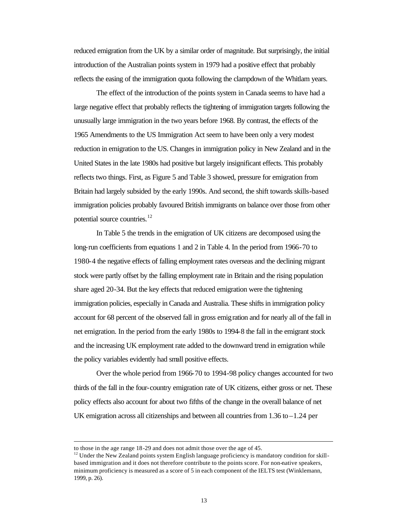reduced emigration from the UK by a similar order of magnitude. But surprisingly, the initial introduction of the Australian points system in 1979 had a positive effect that probably reflects the easing of the immigration quota following the clampdown of the Whitlam years.

The effect of the introduction of the points system in Canada seems to have had a large negative effect that probably reflects the tightening of immigration targets following the unusually large immigration in the two years before 1968. By contrast, the effects of the 1965 Amendments to the US Immigration Act seem to have been only a very modest reduction in emigration to the US. Changes in immigration policy in New Zealand and in the United States in the late 1980s had positive but largely insignificant effects. This probably reflects two things. First, as Figure 5 and Table 3 showed, pressure for emigration from Britain had largely subsided by the early 1990s. And second, the shift towards skills-based immigration policies probably favoured British immigrants on balance over those from other potential source countries.<sup>12</sup>

In Table 5 the trends in the emigration of UK citizens are decomposed using the long-run coefficients from equations 1 and 2 in Table 4. In the period from 1966-70 to 1980-4 the negative effects of falling employment rates overseas and the declining migrant stock were partly offset by the falling employment rate in Britain and the rising population share aged 20-34. But the key effects that reduced emigration were the tightening immigration policies, especially in Canada and Australia. These shifts in immigration policy account for 68 percent of the observed fall in gross emigration and for nearly all of the fall in net emigration. In the period from the early 1980s to 1994-8 the fall in the emigrant stock and the increasing UK employment rate added to the downward trend in emigration while the policy variables evidently had small positive effects.

Over the whole period from 1966-70 to 1994-98 policy changes accounted for two thirds of the fall in the four-country emigration rate of UK citizens, either gross or net. These policy effects also account for about two fifths of the change in the overall balance of net UK emigration across all citizenships and between all countries from 1.36 to –1.24 per

to those in the age range 18-29 and does not admit those over the age of 45.

<sup>&</sup>lt;sup>12</sup> Under the New Zealand points system English language proficiency is mandatory condition for skillbased immigration and it does not therefore contribute to the points score. For non-native speakers, minimum proficiency is measured as a score of 5 in each component of the IELTS test (Winklemann, 1999, p. 26).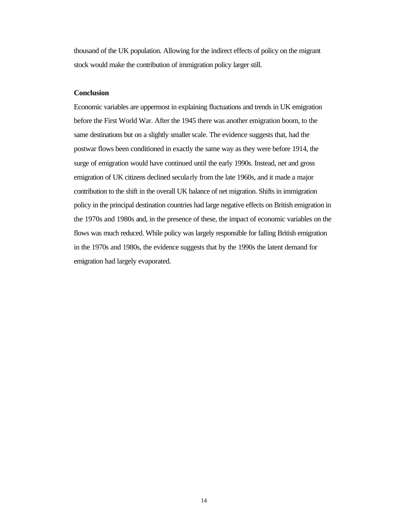thousand of the UK population. Allowing for the indirect effects of policy on the migrant stock would make the contribution of immigration policy larger still.

#### **Conclusion**

Economic variables are uppermost in explaining fluctuations and trends in UK emigration before the First World War. After the 1945 there was another emigration boom, to the same destinations but on a slightly smaller scale. The evidence suggests that, had the postwar flows been conditioned in exactly the same way as they were before 1914, the surge of emigration would have continued until the early 1990s. Instead, net and gross emigration of UK citizens declined secularly from the late 1960s, and it made a major contribution to the shift in the overall UK balance of net migration. Shifts in immigration policy in the principal destination countries had large negative effects on British emigration in the 1970s and 1980s and, in the presence of these, the impact of economic variables on the flows was much reduced. While policy was largely responsible for falling British emigration in the 1970s and 1980s, the evidence suggests that by the 1990s the latent demand for emigration had largely evaporated.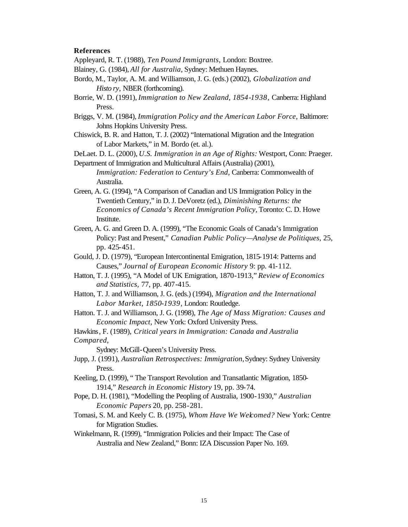#### **References**

Appleyard, R. T. (1988), *Ten Pound Immigrants,* London: Boxtree.

- Blainey, G. (1984), *All for Australia,* Sydney: Methuen Haynes.
- Bordo, M., Taylor, A. M. and Williamson, J. G. (eds.) (2002), *Globalization and Histo ry,* NBER (forthcoming).
- Borrie, W. D. (1991), *Immigration to New Zealand, 1854-1938,* Canberra: Highland Press.
- Briggs, V. M. (1984), *Immigration Policy and the American Labor Force,* Baltimore: Johns Hopkins University Press.
- Chiswick, B. R. and Hatton, T. J. (2002) "International Migration and the Integration of Labor Markets," in M. Bordo (et. al.).
- DeLaet. D. L. (2000), *U.S. Immigration in an Age of Rights:* Westport, Conn: Praeger.
- Department of Immigration and Multicultural Affairs (Australia) (2001), *Immigration: Federation to Century's End,* Canberra: Commonwealth of Australia.
- Green, A. G. (1994), "A Comparison of Canadian and US Immigration Policy in the Twentieth Century," in D. J. DeVoretz (ed.), *Diminishing Returns: the Economics of Canada's Recent Immigration Policy,* Toronto: C. D. Howe Institute.
- Green, A. G. and Green D. A. (1999), "The Economic Goals of Canada's Immigration Policy: Past and Present," *Canadian Public Policy—Analyse de Politiques,* 25, pp. 425-451.
- Gould, J. D. (1979), "European Intercontinental Emigration, 1815-1914: Patterns and Causes," *Journal of European Economic History* 9: pp. 41-112.
- Hatton, T. J. (1995), "A Model of UK Emigration, 1870-1913," *Review of Economics and Statistics,* 77, pp. 407-415.
- Hatton, T. J. and Williamson, J. G. (eds.) (1994), *Migration and the International Labor Market, 1850-1939,* London: Routledge.
- Hatton. T. J. and Williamson, J. G. (1998), *The Age of Mass Migration: Causes and Economic Impact,* New York: Oxford University Press.
- Hawkins, F. (1989), *Critical years in Immigration: Canada and Australia Compared,* 
	- Sydney: McGill-Queen's University Press.
- Jupp, J. (1991), *Australian Retrospectives: Immigration,* Sydney: Sydney University Press.
- Keeling, D. (1999), " The Transport Revolution and Transatlantic Migration, 1850- 1914," *Research in Economic History* 19, pp. 39-74.
- Pope, D. H. (1981), "Modelling the Peopling of Australia, 1900-1930," *Australian Economic Papers* 20, pp. 258-281.
- Tomasi, S. M. and Keely C. B. (1975), *Whom Have We Welcomed?* New York: Centre for Migration Studies.
- Winkelmann, R. (1999), "Immigration Policies and their Impact: The Case of Australia and New Zealand," Bonn: IZA Discussion Paper No. 169.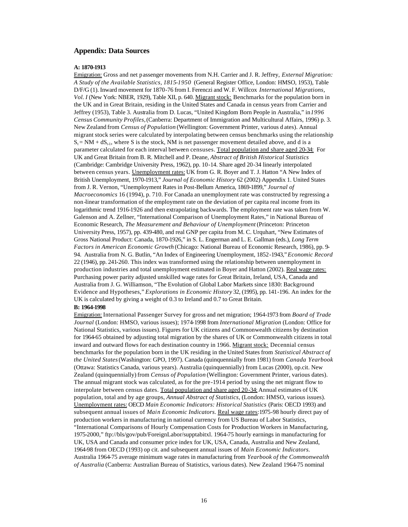#### **Appendix: Data Sources**

#### **A: 1870-1913**

Emigration: Gross and net passenger movements from N.H. Carrier and J. R. Jeffrey, *External Migration: A Study of the Available Statistics, 1815-1950* (General Register Office, London: HMSO, 1953), Table D/F/G (1). Inward movement for 1870-76 from I. Ferenczi and W. F. Willcox *International Migrations, Vol. I* (New York: NBER, 1929), Table XII, p. 640. Migrant stock: Benchmarks for the population born in the UK and in Great Britain, residing in the United States and Canada in census years from Carrier and Jeffrey (1953), Table 3. Australia from D. Lucas, "United Kingdom Born People in Australia," in *1996 Census Community Profiles,* (Canberra: Department of Immigration and Multicultural Affairs, 1996) p. 3. New Zealand from *Census of Population* (Wellington: Government Printer, various d ates). Annual migrant stock series were calculated by interpolating between census benchmarks using the relationship  $S_t = NM + dS_{t-1}$ , where S is the stock, NM is net passenger movement detailed above, and d is a parameter calculated for each interval between censuses. Total population and share aged 20-34: For UK and Great Britain from B. R. Mitchell and P. Deane, *Abstract of British Historical Statistics*  (Cambridge: Cambridge University Press, 1962), pp. 10-14. Share aged 20-34 linearly interpolated between census years. Unemployment rates: UK from G. R. Boyer and T. J. Hatton "A New Index of British Unemployment, 1970-1913," *Journal of Economic History* 62 (2002) Appendix 1. United States from J. R. Vernon, "Unemployment Rates in Post-Bellum America, 1869-1899," *Journal of Macroeconomics* 16 (1994), p. 710. For Canada an unemployment rate was constructed by regressing a non-linear transformation of the employment rate on the deviation of per capita real income from its logarithmic trend 1916-1926 and then extrapolating backwards. The employment rate was taken from W. Galenson and A. Zellner, "International Comparison of Unemployment Rates," in National Bureau of Economic Research, *The Measurement and Behaviour of Unemployment* (Princeton: Princeton University Press, 1957), pp. 439-480, and real GNP per capita from M. C. Urquhart, "New Estimates of Gross National Product: Canada, 1870-1926," in S. L. Engerman and L. E. Gallman (eds.), *Long Term Factors in American Economic Growth* (Chicago: National Bureau of Economic Research, 1986), pp. 9- 94. Australia from N. G. Butlin, "An Index of Engineering Unemployment, 1852-1943," *Economic Record*  22 (1946), pp. 241-260. This index was transformed using the relationship between unemployment in production industries and total unemployment estimated in Boyer and Hatton (2002). Real wage rates: Purchasing power parity adjusted unskilled wage rates for Great Britain, Ireland, USA, Canada and Australia from J. G. Williamson, "The Evolution of Global Labor Markets since 1830: Background Evidence and Hypotheses," *Explorations in Economic History* 32, (1995), pp. 141-196. An index for the UK is calculated by giving a weight of 0.3 to Ireland and 0.7 to Great Britain.

#### **B: 1964-1998**

Emigration: International Passenger Survey for gross and net migration; 1964-1973 from *Board of Trade Journal* (London: HMSO, various issues); 1974-1998 from *International Migration* (London: Office for National Statistics, various issues). Figures for UK citizens and Commonwealth citizens by destination for 1964-65 obtained by adjusting total migration by the shares of UK or Commonwealth citizens in total inward and outward flows for each destination country in 1966. Migrant stock: Decennial census benchmarks for the population born in the UK residing in the United States from *Statistical Abstract of the United States* (Washington: GPO, 1997). Canada (quinquennially from 1981) from *Canada Yearbook*  (Ottawa: Statistics Canada, various years). Australia (quinquennially) from Lucas (2000), op.cit. New Zealand (quinquennially) from *Census of Population* (Wellington: Government Printer, various dates). The annual migrant stock was calculated, as for the pre-1914 period by using the net migrant flow to interpolate between census dates. Total population and share aged 20-34: Annual estimates of UK population, total and by age groups, *Annual Abstract of Statistics,* (London: HMSO, various issues). Unemployment rates: OECD *Main Economic Indicators: Historical Statistics* (Paris: OECD 1993) and subsequent annual issues of *Main Economic Indicators.* Real wage rates: 1975-98 hourly direct pay of production workers in manufacturing in national currency from US Bureau of Labor Statistics, "International Comparisons of Hourly Compensation Costs for Production Workers in Manufacturing, 1975-2000," ftp://bls/gov/pub/ForeignLabor/supptabitxl. 1964-75 hourly earnings in manufacturing for UK, USA and Canada and consumer price index for UK, USA, Canada, Australia and New Zealand, 1964-98 from OECD (1993) op cit. and subsequent annual issues of *Main Economic Indicators.*  Australia 1964-75 average minimum wage rates in manufacturing from *Yearbook of the Commonwealth of Australia* (Canberra: Australian Bureau of Statistics, various dates). New Zealand 1964-75 nominal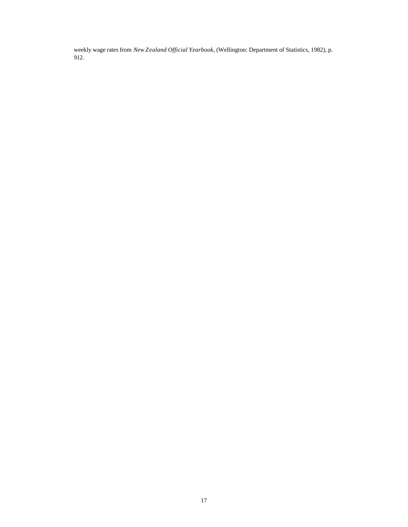weekly wage rates from *New Zealand Official Yearbook,* (Wellington: Department of Statistics, 1982), p. 912.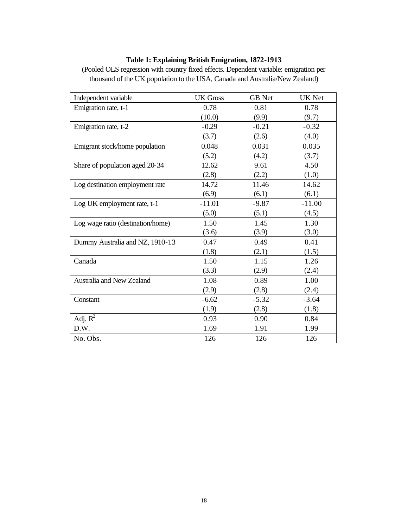| Independent variable              | <b>UK Gross</b> | <b>GB</b> Net | <b>UK Net</b> |
|-----------------------------------|-----------------|---------------|---------------|
| Emigration rate, t-1              | 0.78            | 0.81          | 0.78          |
|                                   | (10.0)          | (9.9)         | (9.7)         |
| Emigration rate, t-2              | $-0.29$         | $-0.21$       | $-0.32$       |
|                                   | (3.7)           | (2.6)         | (4.0)         |
| Emigrant stock/home population    | 0.048           | 0.031         | 0.035         |
|                                   | (5.2)           | (4.2)         | (3.7)         |
| Share of population aged 20-34    | 12.62           | 9.61          | 4.50          |
|                                   | (2.8)           | (2.2)         | (1.0)         |
| Log destination employment rate   | 14.72           | 11.46         | 14.62         |
|                                   | (6.9)           | (6.1)         | (6.1)         |
| Log UK employment rate, t-1       | $-11.01$        | $-9.87$       | $-11.00$      |
|                                   | (5.0)           | (5.1)         | (4.5)         |
| Log wage ratio (destination/home) | 1.50            | 1.45          | 1.30          |
|                                   | (3.6)           | (3.9)         | (3.0)         |
| Dummy Australia and NZ, 1910-13   | 0.47            | 0.49          | 0.41          |
|                                   | (1.8)           | (2.1)         | (1.5)         |
| Canada                            | 1.50            | 1.15          | 1.26          |
|                                   | (3.3)           | (2.9)         | (2.4)         |
| Australia and New Zealand         | 1.08            | 0.89          | 1.00          |
|                                   | (2.9)           | (2.8)         | (2.4)         |
| Constant                          | $-6.62$         | $-5.32$       | $-3.64$       |
|                                   | (1.9)           | (2.8)         | (1.8)         |
| Adj. $R^2$                        | 0.93            | 0.90          | 0.84          |
| D.W.                              | 1.69            | 1.91          | 1.99          |
| No. Obs.                          | 126             | 126           | 126           |

#### **Table 1: Explaining British Emigration, 1872-1913**

(Pooled OLS regression with country fixed effects. Dependent variable: emigration per thousand of the UK population to the USA, Canada and Australia/New Zealand)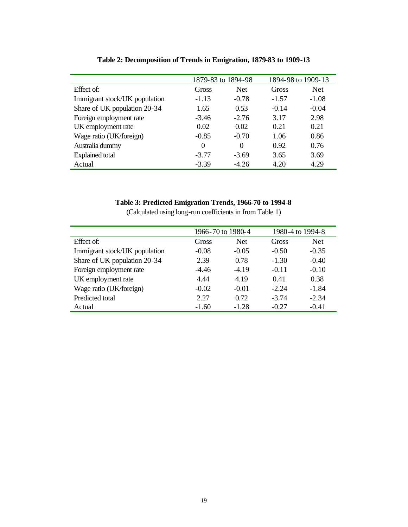|                               | 1879-83 to 1894-98 |            | 1894-98 to 1909-13 |            |
|-------------------------------|--------------------|------------|--------------------|------------|
| Effect of:                    | Gross              | <b>Net</b> | Gross              | <b>Net</b> |
| Immigrant stock/UK population | $-1.13$            | $-0.78$    | $-1.57$            | $-1.08$    |
| Share of UK population 20-34  | 1.65               | 0.53       | $-0.14$            | $-0.04$    |
| Foreign employment rate       | $-3.46$            | $-2.76$    | 3.17               | 2.98       |
| UK employment rate            | 0.02               | 0.02       | 0.21               | 0.21       |
| Wage ratio (UK/foreign)       | $-0.85$            | $-0.70$    | 1.06               | 0.86       |
| Australia dummy               | $\Omega$           | $\Omega$   | 0.92               | 0.76       |
| <b>Explained total</b>        | $-3.77$            | $-3.69$    | 3.65               | 3.69       |
| Actual                        | $-3.39$            | $-4.26$    | 4.20               | 4.29       |

**Table 2: Decomposition of Trends in Emigration, 1879-83 to 1909-13**

#### **Table 3: Predicted Emigration Trends, 1966-70 to 1994-8**

(Calculated using long-run coefficients in from Table 1)

|                               | 1966-70 to 1980-4 |            | 1980-4 to 1994-8 |            |
|-------------------------------|-------------------|------------|------------------|------------|
| Effect of:                    | Gross             | <b>Net</b> | Gross            | <b>Net</b> |
| Immigrant stock/UK population | $-0.08$           | $-0.05$    | $-0.50$          | $-0.35$    |
| Share of UK population 20-34  | 2.39              | 0.78       | $-1.30$          | $-0.40$    |
| Foreign employment rate       | $-4.46$           | $-4.19$    | $-0.11$          | $-0.10$    |
| UK employment rate            | 4.44              | 4.19       | 0.41             | 0.38       |
| Wage ratio (UK/foreign)       | $-0.02$           | $-0.01$    | $-2.24$          | $-1.84$    |
| Predicted total               | 2.27              | 0.72       | $-3.74$          | $-2.34$    |
| Actual                        | $-1.60$           | $-1.28$    | $-0.27$          | $-0.41$    |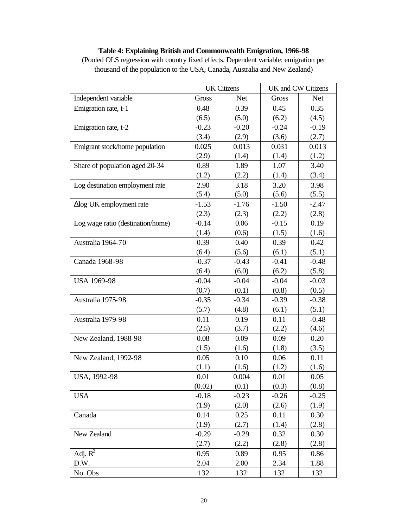| Table 4: Explaining British and Commonwealth Emigration, 1966-98                      |                                |  |
|---------------------------------------------------------------------------------------|--------------------------------|--|
| (Pooled OLS regression with country fixed effects. Dependent variable: emigration per |                                |  |
| thousand of the population to the USA, Canada, Australia and New Zealand)             |                                |  |
|                                                                                       |                                |  |
|                                                                                       | UK Citizens UK and CW Citizens |  |

|                                   |         | <b>UIT CHILLIS</b> |         | UN anu C VV Chillis |
|-----------------------------------|---------|--------------------|---------|---------------------|
| Independent variable              | Gross   | <b>Net</b>         | Gross   | <b>Net</b>          |
| Emigration rate, t-1              | 0.48    | 0.39               | 0.45    | 0.35                |
|                                   | (6.5)   | (5.0)              | (6.2)   | (4.5)               |
| Emigration rate, t-2              | $-0.23$ | $-0.20$            | $-0.24$ | $-0.19$             |
|                                   | (3.4)   | (2.9)              | (3.6)   | (2.7)               |
| Emigrant stock/home population    | 0.025   | 0.013              | 0.031   | 0.013               |
|                                   | (2.9)   | (1.4)              | (1.4)   | (1.2)               |
| Share of population aged 20-34    | 0.89    | 1.89               | 1.07    | 3.40                |
|                                   | (1.2)   | (2.2)              | (1.4)   | (3.4)               |
| Log destination employment rate   | 2.90    | 3.18               | 3.20    | 3.98                |
|                                   | (5.4)   | (5.0)              | (5.6)   | (5.5)               |
| $\Delta$ log UK employment rate   | $-1.53$ | $-1.76$            | $-1.50$ | $-2.47$             |
|                                   | (2.3)   | (2.3)              | (2.2)   | (2.8)               |
| Log wage ratio (destination/home) | $-0.14$ | 0.06               | $-0.15$ | 0.19                |
|                                   | (1.4)   | (0.6)              | (1.5)   | (1.6)               |
| Australia 1964-70                 | 0.39    | 0.40               | 0.39    | 0.42                |
|                                   | (6.4)   | (5.6)              | (6.1)   | (5.1)               |
| Canada 1968-98                    | $-0.37$ | $-0.43$            | $-0.41$ | $-0.48$             |
|                                   | (6.4)   | (6.0)              | (6.2)   | (5.8)               |
| USA 1969-98                       | $-0.04$ | $-0.04$            | $-0.04$ | $-0.03$             |
|                                   | (0.7)   | (0.1)              | (0.8)   | (0.5)               |
| Australia 1975-98                 | $-0.35$ | $-0.34$            | $-0.39$ | $-0.38$             |
|                                   | (5.7)   | (4.8)              | (6.1)   | (5.1)               |
| Australia 1979-98                 | 0.11    | 0.19               | 0.11    | $-0.48$             |
|                                   | (2.5)   | (3.7)              | (2.2)   | (4.6)               |
| New Zealand, 1988-98              | 0.08    | 0.09               | 0.09    | 0.20                |
|                                   | (1.5)   | (1.6)              | (1.8)   | (3.5)               |
| New Zealand, 1992-98              | 0.05    | 0.10               | 0.06    | 0.11                |
|                                   | (1.1)   | (1.6)              | (1.2)   | (1.6)               |
| USA, 1992-98                      | 0.01    | 0.004              | 0.01    | 0.05                |
|                                   | (0.02)  | (0.1)              | (0.3)   | (0.8)               |
| <b>USA</b>                        | $-0.18$ | $-0.23$            | $-0.26$ | $-0.25$             |
|                                   | (1.9)   | (2.0)              | (2.6)   | (1.9)               |
| Canada                            | 0.14    | 0.25               | 0.11    | 0.30                |
|                                   | (1.9)   | (2.7)              | (1.4)   | (2.8)               |
| New Zealand                       | $-0.29$ | $-0.29$            | 0.32    | 0.30                |
|                                   | (2.7)   | (2.2)              | (2.8)   | (2.8)               |
| Adj. $R^2$                        | 0.95    | 0.89               | 0.95    | 0.86                |
| D.W.                              | 2.04    | 2.00               | 2.34    | 1.88                |
| No. Obs                           | 132     | 132                | 132     | 132                 |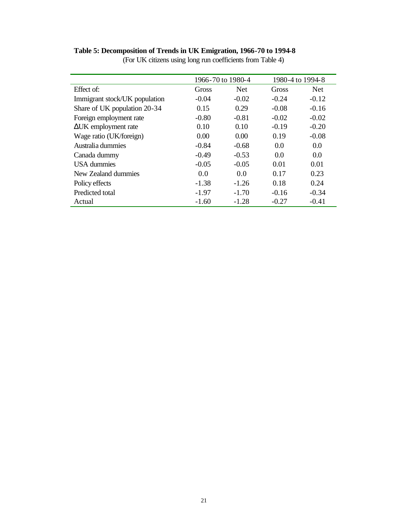#### **Table 5: Decomposition of Trends in UK Emigration, 1966-70 to 1994-8**

|                               | 1966-70 to 1980-4 |            | 1980-4 to 1994-8 |            |
|-------------------------------|-------------------|------------|------------------|------------|
| Effect of:                    | Gross             | <b>Net</b> | Gross            | <b>Net</b> |
| Immigrant stock/UK population | $-0.04$           | $-0.02$    | $-0.24$          | $-0.12$    |
| Share of UK population 20-34  | 0.15              | 0.29       | $-0.08$          | $-0.16$    |
| Foreign employment rate       | $-0.80$           | $-0.81$    | $-0.02$          | $-0.02$    |
| $\Delta$ UK employment rate   | 0.10              | 0.10       | $-0.19$          | $-0.20$    |
| Wage ratio (UK/foreign)       | 0.00              | 0.00       | 0.19             | $-0.08$    |
| Australia dummies             | $-0.84$           | $-0.68$    | 0.0              | 0.0        |
| Canada dummy                  | $-0.49$           | $-0.53$    | 0.0              | 0.0        |
| <b>USA</b> dummies            | $-0.05$           | $-0.05$    | 0.01             | 0.01       |
| New Zealand dummies           | 0.0               | 0.0        | 0.17             | 0.23       |
| Policy effects                | $-1.38$           | $-1.26$    | 0.18             | 0.24       |
| Predicted total               | $-1.97$           | $-1.70$    | $-0.16$          | $-0.34$    |
| Actual                        | $-1.60$           | $-1.28$    | $-0.27$          | $-0.41$    |

(For UK citizens using long run coefficients from Table 4)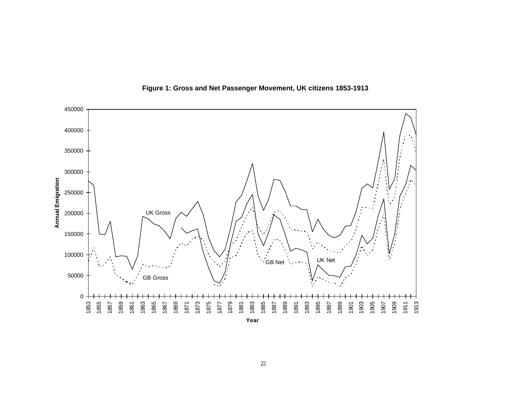

**Figure 1: Gross and Net Passenger Movement, UK citizens 1853-1913**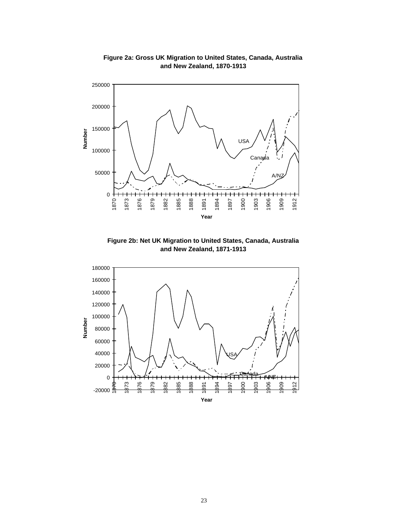

**Figure 2a: Gross UK Migration to United States, Canada, Australia and New Zealand, 1870-1913**

**Figure 2b: Net UK Migration to United States, Canada, Australia and New Zealand, 1871-1913**

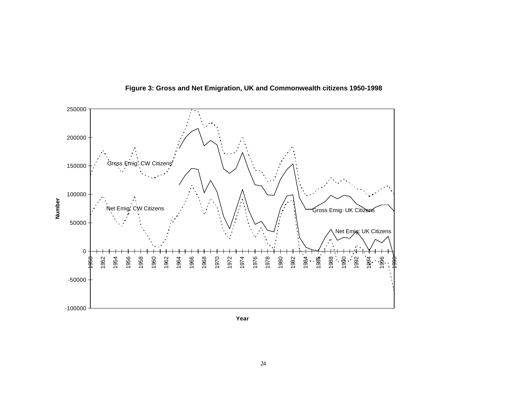

**Figure 3: Gross and Net Emigration, UK and Commonwealth citizens 1950-1998**

**Year**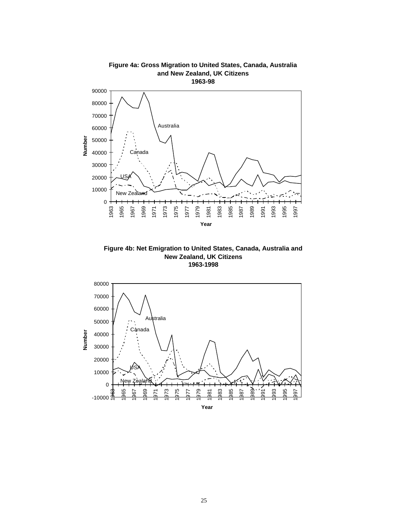

**Figure 4b: Net Emigration to United States, Canada, Australia and New Zealand, UK Citizens 1963-1998**

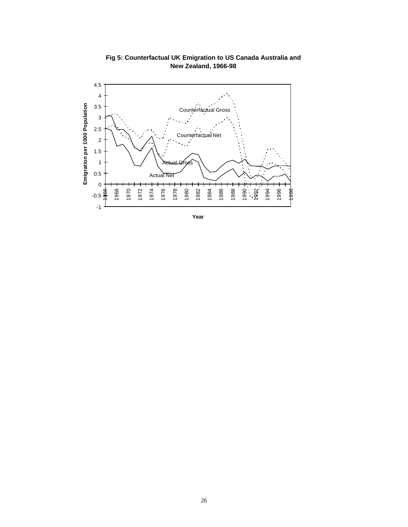

**Fig 5: Counterfactual UK Emigration to US Canada Australia and New Zealand, 1966-98**